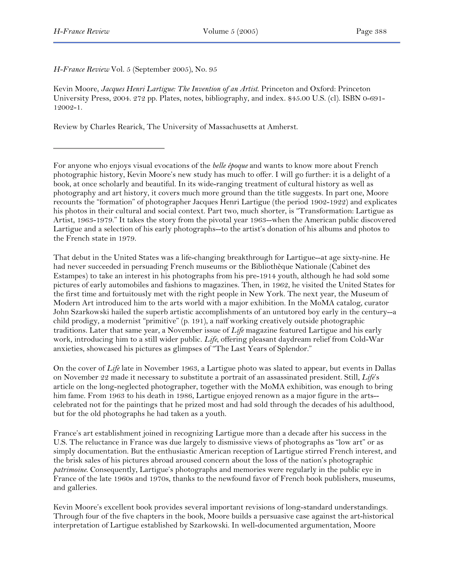*H-France Review* Vol. 5 (September 2005), No. 95

Kevin Moore, *Jacques Henri Lartigue: The Invention of an Artist*. Princeton and Oxford: Princeton University Press, 2004. 272 pp. Plates, notes, bibliography, and index. \$45.00 U.S. (cl). ISBN 0-691- 12002-1.

Review by Charles Rearick, The University of Massachusetts at Amherst.

For anyone who enjoys visual evocations of the *belle époque* and wants to know more about French photographic history, Kevin Moore's new study has much to offer. I will go further: it is a delight of a book, at once scholarly and beautiful. In its wide-ranging treatment of cultural history as well as photography and art history, it covers much more ground than the title suggests. In part one, Moore recounts the "formation" of photographer Jacques Henri Lartigue (the period 1902-1922) and explicates his photos in their cultural and social context. Part two, much shorter, is "Transformation: Lartigue as Artist, 1963-1979." It takes the story from the pivotal year 1963--when the American public discovered Lartigue and a selection of his early photographs--to the artist's donation of his albums and photos to the French state in 1979.

That debut in the United States was a life-changing breakthrough for Lartigue--at age sixty-nine. He had never succeeded in persuading French museums or the Bibliothèque Nationale (Cabinet des Estampes) to take an interest in his photographs from his pre-1914 youth, although he had sold some pictures of early automobiles and fashions to magazines. Then, in 1962, he visited the United States for the first time and fortuitously met with the right people in New York. The next year, the Museum of Modern Art introduced him to the arts world with a major exhibition. In the MoMA catalog, curator John Szarkowski hailed the superb artistic accomplishments of an untutored boy early in the century--a child prodigy, a modernist "primitive" (p. 191), a naïf working creatively outside photographic traditions. Later that same year, a November issue of *Life* magazine featured Lartigue and his early work, introducing him to a still wider public. *Life*, offering pleasant daydream relief from Cold-War anxieties, showcased his pictures as glimpses of "The Last Years of Splendor."

On the cover of *Life* late in November 1963, a Lartigue photo was slated to appear, but events in Dallas on November 22 made it necessary to substitute a portrait of an assassinated president. Still, *Life*'s article on the long-neglected photographer, together with the MoMA exhibition, was enough to bring him fame. From 1963 to his death in 1986, Lartigue enjoyed renown as a major figure in the arts-celebrated not for the paintings that he prized most and had sold through the decades of his adulthood, but for the old photographs he had taken as a youth.

France's art establishment joined in recognizing Lartigue more than a decade after his success in the U.S. The reluctance in France was due largely to dismissive views of photographs as "low art" or as simply documentation. But the enthusiastic American reception of Lartigue stirred French interest, and the brisk sales of his pictures abroad aroused concern about the loss of the nation's photographic *patrimoine*. Consequently, Lartigue's photographs and memories were regularly in the public eye in France of the late 1960s and 1970s, thanks to the newfound favor of French book publishers, museums, and galleries.

Kevin Moore's excellent book provides several important revisions of long-standard understandings. Through four of the five chapters in the book, Moore builds a persuasive case against the art-historical interpretation of Lartigue established by Szarkowski. In well-documented argumentation, Moore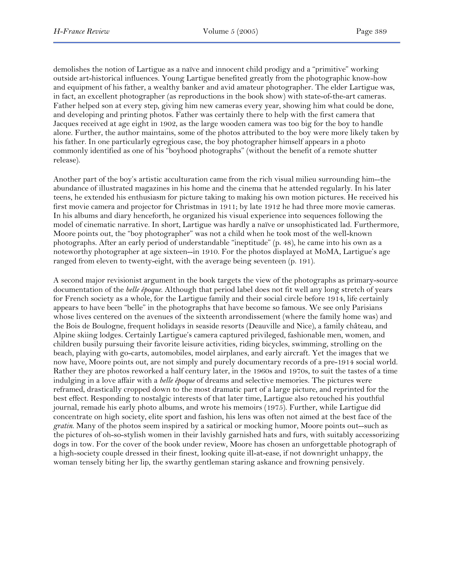demolishes the notion of Lartigue as a naïve and innocent child prodigy and a "primitive" working outside art-historical influences. Young Lartigue benefited greatly from the photographic know-how and equipment of his father, a wealthy banker and avid amateur photographer. The elder Lartigue was, in fact, an excellent photographer (as reproductions in the book show) with state-of-the-art cameras. Father helped son at every step, giving him new cameras every year, showing him what could be done, and developing and printing photos. Father was certainly there to help with the first camera that Jacques received at age eight in 1902, as the large wooden camera was too big for the boy to handle alone. Further, the author maintains, some of the photos attributed to the boy were more likely taken by his father. In one particularly egregious case, the boy photographer himself appears in a photo commonly identified as one of his "boyhood photographs" (without the benefit of a remote shutter release).

Another part of the boy's artistic acculturation came from the rich visual milieu surrounding him--the abundance of illustrated magazines in his home and the cinema that he attended regularly. In his later teens, he extended his enthusiasm for picture taking to making his own motion pictures. He received his first movie camera and projector for Christmas in 1911; by late 1912 he had three more movie cameras. In his albums and diary henceforth, he organized his visual experience into sequences following the model of cinematic narrative. In short, Lartigue was hardly a naïve or unsophisticated lad. Furthermore, Moore points out, the "boy photographer" was not a child when he took most of the well-known photographs. After an early period of understandable "ineptitude" (p. 48), he came into his own as a noteworthy photographer at age sixteen--in 1910. For the photos displayed at MoMA, Lartigue's age ranged from eleven to twenty-eight, with the average being seventeen (p. 191).

A second major revisionist argument in the book targets the view of the photographs as primary-source documentation of the *belle époque*. Although that period label does not fit well any long stretch of years for French society as a whole, for the Lartigue family and their social circle before 1914, life certainly appears to have been "belle" in the photographs that have become so famous. We see only Parisians whose lives centered on the avenues of the sixteenth arrondissement (where the family home was) and the Bois de Boulogne, frequent holidays in seaside resorts (Deauville and Nice), a family château, and Alpine skiing lodges. Certainly Lartigue's camera captured privileged, fashionable men, women, and children busily pursuing their favorite leisure activities, riding bicycles, swimming, strolling on the beach, playing with go-carts, automobiles, model airplanes, and early aircraft. Yet the images that we now have, Moore points out, are not simply and purely documentary records of a pre-1914 social world. Rather they are photos reworked a half century later, in the 1960s and 1970s, to suit the tastes of a time indulging in a love affair with a *belle époque* of dreams and selective memories. The pictures were reframed, drastically cropped down to the most dramatic part of a large picture, and reprinted for the best effect. Responding to nostalgic interests of that later time, Lartigue also retouched his youthful journal, remade his early photo albums, and wrote his memoirs (1975). Further, while Lartigue did concentrate on high society, elite sport and fashion, his lens was often not aimed at the best face of the *gratin*. Many of the photos seem inspired by a satirical or mocking humor, Moore points out--such as the pictures of oh-so-stylish women in their lavishly garnished hats and furs, with suitably accessorizing dogs in tow. For the cover of the book under review, Moore has chosen an unforgettable photograph of a high-society couple dressed in their finest, looking quite ill-at-ease, if not downright unhappy, the woman tensely biting her lip, the swarthy gentleman staring askance and frowning pensively.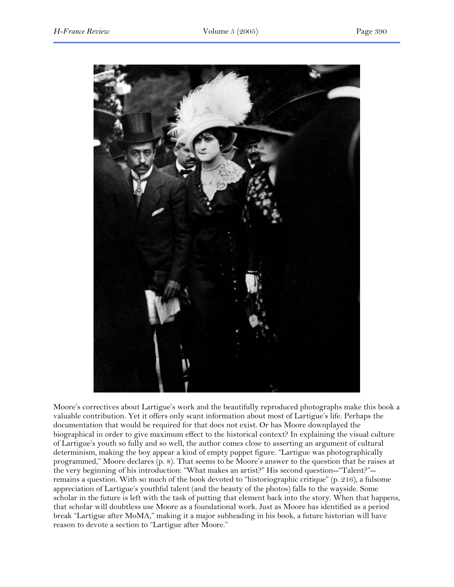

Moore's correctives about Lartigue's work and the beautifully reproduced photographs make this book a valuable contribution. Yet it offers only scant information about most of Lartigue's life. Perhaps the documentation that would be required for that does not exist. Or has Moore downplayed the biographical in order to give maximum effect to the historical context? In explaining the visual culture of Lartigue's youth so fully and so well, the author comes close to asserting an argument of cultural determinism, making the boy appear a kind of empty puppet figure. "Lartigue was photographically programmed," Moore declares (p. 8). That seems to be Moore's answer to the question that he raises at the very beginning of his introduction: "What makes an artist?" His second question--"Talent?"- remains a question. With so much of the book devoted to "historiographic critique" (p. 216), a fulsome appreciation of Lartigue's youthful talent (and the beauty of the photos) falls to the wayside. Some scholar in the future is left with the task of putting that element back into the story. When that happens, that scholar will doubtless use Moore as a foundational work. Just as Moore has identified as a period break "Lartigue after MoMA," making it a major subheading in his book, a future historian will have reason to devote a section to "Lartigue after Moore."